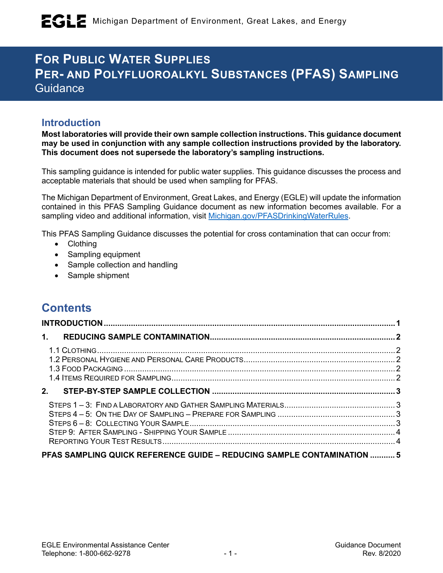# **FOR PUBLIC WATER SUPPLIES PER- AND POLYFLUOROALKYL SUBSTANCES (PFAS) SAMPLING Guidance**

## **Introduction**

**Most laboratories will provide their own sample collection instructions. This guidance document may be used in conjunction with any sample collection instructions provided by the laboratory. This document does not supersede the laboratory's sampling instructions.**

This sampling guidance is intended for public water supplies. This guidance discusses the process and acceptable materials that should be used when sampling for PFAS.

The Michigan Department of Environment, Great Lakes, and Energy (EGLE) will update the information contained in this PFAS Sampling Guidance document as new information becomes available. For a sampling video and additional information, visit [Michigan.gov/PFASDrinkingWaterRules.](http://www.michigan.gov/PFASDrinkingWaterRules)

This PFAS Sampling Guidance discusses the potential for cross contamination that can occur from:

- Clothing
- Sampling equipment
- Sample collection and handling
- Sample shipment

## **Contents**

| 1. |                                                                        |  |
|----|------------------------------------------------------------------------|--|
|    |                                                                        |  |
|    |                                                                        |  |
|    |                                                                        |  |
|    |                                                                        |  |
|    |                                                                        |  |
|    |                                                                        |  |
|    |                                                                        |  |
|    |                                                                        |  |
|    |                                                                        |  |
|    |                                                                        |  |
|    | PFAS SAMPLING QUICK REFERENCE GUIDE - REDUCING SAMPLE CONTAMINATION  5 |  |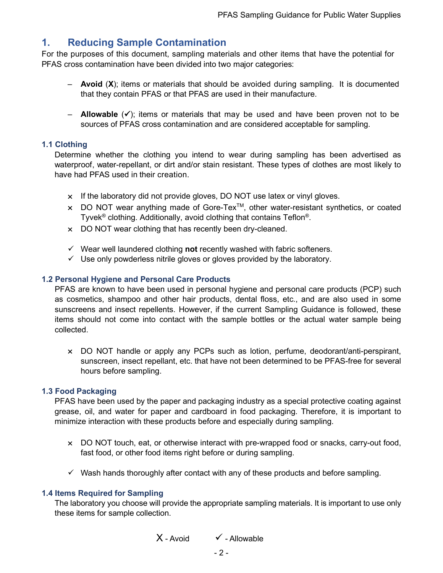## **1. Reducing Sample Contamination**

For the purposes of this document, sampling materials and other items that have the potential for PFAS cross contamination have been divided into two major categories:

- **Avoid** (**X**); items or materials that should be avoided during sampling. It is documented that they contain PFAS or that PFAS are used in their manufacture.
- $-$  **Allowable**  $(\checkmark)$ ; items or materials that may be used and have been proven not to be sources of PFAS cross contamination and are considered acceptable for sampling.

#### **1.1 Clothing**

Determine whether the clothing you intend to wear during sampling has been advertised as waterproof, water-repellant, or dirt and/or stain resistant. These types of clothes are most likely to have had PFAS used in their creation.

- $\times$  If the laboratory did not provide gloves, DO NOT use latex or vinyl gloves.
- $\times$  DO NOT wear anything made of Gore-Tex<sup>TM</sup>, other water-resistant synthetics, or coated Tyvek® clothing. Additionally, avoid clothing that contains Teflon®.
- × DO NOT wear clothing that has recently been dry-cleaned.
- $\checkmark$  Wear well laundered clothing **not** recently washed with fabric softeners.
- $\checkmark$  Use only powderless nitrile gloves or gloves provided by the laboratory.

#### **1.2 Personal Hygiene and Personal Care Products**

PFAS are known to have been used in personal hygiene and personal care products (PCP) such as cosmetics, shampoo and other hair products, dental floss, etc., and are also used in some sunscreens and insect repellents. However, if the current Sampling Guidance is followed, these items should not come into contact with the sample bottles or the actual water sample being collected.

× DO NOT handle or apply any PCPs such as lotion, perfume, deodorant/anti-perspirant, sunscreen, insect repellant, etc. that have not been determined to be PFAS-free for several hours before sampling.

#### **1.3 Food Packaging**

PFAS have been used by the paper and packaging industry as a special protective coating against grease, oil, and water for paper and cardboard in food packaging. Therefore, it is important to minimize interaction with these products before and especially during sampling.

- × DO NOT touch, eat, or otherwise interact with pre-wrapped food or snacks, carry-out food, fast food, or other food items right before or during sampling.
- $\checkmark$  Wash hands thoroughly after contact with any of these products and before sampling.

#### **1.4 Items Required for Sampling**

The laboratory you choose will provide the appropriate sampling materials. It is important to use only these items for sample collection.

$$
X - Avoid \qquad \qquad \checkmark - Allowable
$$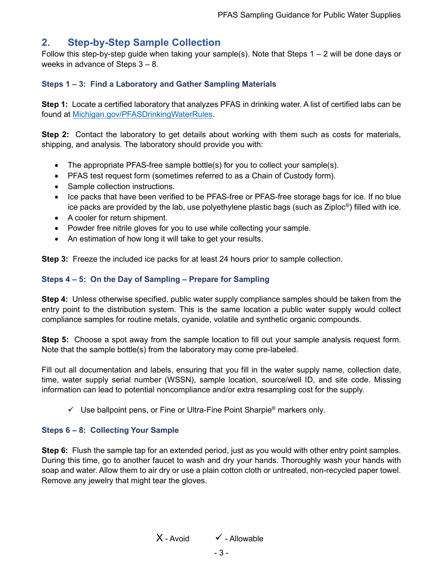## **2. Step-by-Step Sample Collection**

Follow this step-by-step guide when taking your sample(s). Note that Steps 1 – 2 will be done days or weeks in advance of Steps 3 – 8.

#### **Steps 1 – 3: Find a Laboratory and Gather Sampling Materials**

**Step 1:** Locate a certified laboratory that analyzes PFAS in drinking water. A list of certified labs can be found at [Michigan.gov/PFASDrinkingWaterRules.](http://www.michigan.gov/PFASDrinkingWaterRules)

**Step 2:** Contact the laboratory to get details about working with them such as costs for materials, shipping, and analysis. The laboratory should provide you with:

- The appropriate PFAS-free sample bottle(s) for you to collect your sample(s).
- PFAS test request form (sometimes referred to as a Chain of Custody form).
- Sample collection instructions.
- Ice packs that have been verified to be PFAS-free or PFAS-free storage bags for ice. If no blue ice packs are provided by the lab, use polyethylene plastic bags (such as Ziploc<sup>®</sup>) filled with ice.
- A cooler for return shipment.
- Powder free nitrile gloves for you to use while collecting your sample.
- An estimation of how long it will take to get your results.

**Step 3:** Freeze the included ice packs for at least 24 hours prior to sample collection.

#### **Steps 4 – 5: On the Day of Sampling – Prepare for Sampling**

**Step 4:** Unless otherwise specified, public water supply compliance samples should be taken from the entry point to the distribution system. This is the same location a public water supply would collect compliance samples for routine metals, cyanide, volatile and synthetic organic compounds.

**Step 5:** Choose a spot away from the sample location to fill out your sample analysis request form. Note that the sample bottle(s) from the laboratory may come pre-labeled.

Fill out all documentation and labels, ensuring that you fill in the water supply name, collection date, time, water supply serial number (WSSN), sample location, source/well ID, and site code. Missing information can lead to potential noncompliance and/or extra resampling cost for the supply.

 $\checkmark$  Use ballpoint pens, or Fine or Ultra-Fine Point Sharpie<sup>®</sup> markers only.

#### **Steps 6 – 8: Collecting Your Sample**

**Step 6:** Flush the sample tap for an extended period, just as you would with other entry point samples. During this time, go to another faucet to wash and dry your hands. Thoroughly wash your hands with soap and water. Allow them to air dry or use a plain cotton cloth or untreated, non-recycled paper towel. Remove any jewelry that might tear the gloves.

 $X$  - Avoid  $V$  - Allowable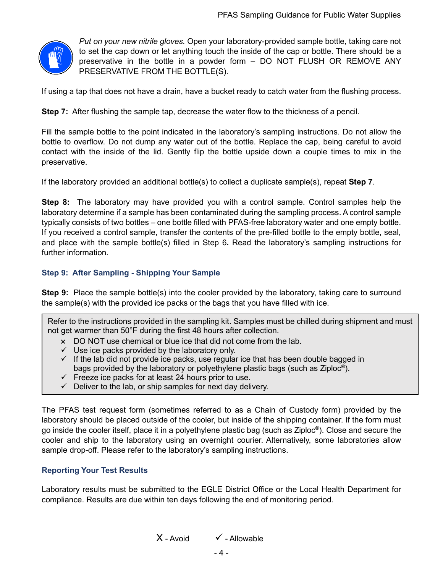

*Put on your new nitrile gloves.* Open your laboratory-provided sample bottle, taking care not to set the cap down or let anything touch the inside of the cap or bottle. There should be a preservative in the bottle in a powder form – DO NOT FLUSH OR REMOVE ANY PRESERVATIVE FROM THE BOTTLE(S).

If using a tap that does not have a drain, have a bucket ready to catch water from the flushing process.

**Step 7:** After flushing the sample tap, decrease the water flow to the thickness of a pencil.

Fill the sample bottle to the point indicated in the laboratory's sampling instructions. Do not allow the bottle to overflow. Do not dump any water out of the bottle. Replace the cap, being careful to avoid contact with the inside of the lid. Gently flip the bottle upside down a couple times to mix in the preservative.

If the laboratory provided an additional bottle(s) to collect a duplicate sample(s), repeat **Step 7**.

**Step 8:** The laboratory may have provided you with a control sample. Control samples help the laboratory determine if a sample has been contaminated during the sampling process. A control sample typically consists of two bottles – one bottle filled with PFAS-free laboratory water and one empty bottle. If you received a control sample, transfer the contents of the pre-filled bottle to the empty bottle, seal, and place with the sample bottle(s) filled in Step 6**.** Read the laboratory's sampling instructions for further information.

#### **Step 9: After Sampling - Shipping Your Sample**

**Step 9:** Place the sample bottle(s) into the cooler provided by the laboratory, taking care to surround the sample(s) with the provided ice packs or the bags that you have filled with ice.

Refer to the instructions provided in the sampling kit. Samples must be chilled during shipment and must not get warmer than 50°F during the first 48 hours after collection.

- × DO NOT use chemical or blue ice that did not come from the lab.
- $\checkmark$  Use ice packs provided by the laboratory only.
- $\checkmark$  If the lab did not provide ice packs, use regular ice that has been double bagged in bags provided by the laboratory or polyethylene plastic bags (such as Ziploc®).
- $\checkmark$  Freeze ice packs for at least 24 hours prior to use.
- $\checkmark$  Deliver to the lab, or ship samples for next day delivery.

The PFAS test request form (sometimes referred to as a Chain of Custody form) provided by the laboratory should be placed outside of the cooler, but inside of the shipping container. If the form must go inside the cooler itself, place it in a polyethylene plastic bag (such as Ziploc®). Close and secure the cooler and ship to the laboratory using an overnight courier. Alternatively, some laboratories allow sample drop-off. Please refer to the laboratory's sampling instructions.

#### **Reporting Your Test Results**

Laboratory results must be submitted to the EGLE District Office or the Local Health Department for compliance. Results are due within ten days following the end of monitoring period.

 $X$  - Avoid  $V$  - Allowable